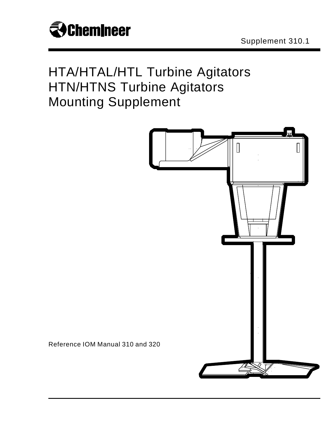

## HTA/HTAL/HTL Turbine Agitators HTN/HTNS Turbine Agitators Mounting Supplement



Reference IOM Manual 310 and 320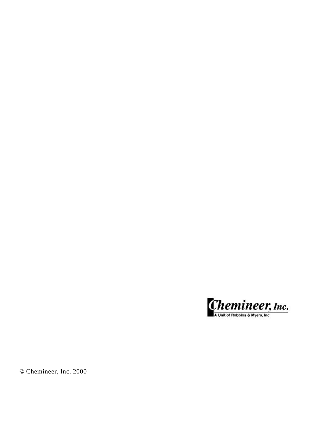

© Chemineer, Inc. 2000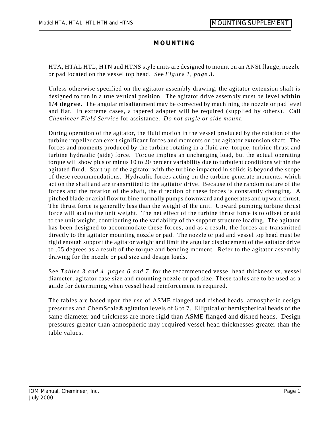## **MOUNTING**

HTA, HTAL HTL, HTN and HTNS style units are designed to mount on an ANSI flange, nozzle or pad located on the vessel top head. See *Figure 1, page 3.*

Unless otherwise specified on the agitator assembly drawing, the agitator extension shaft is designed to run in a true vertical position. The agitator drive assembly must be **level within 1/4 degree.** The angular misalignment may be corrected by machining the nozzle or pad level and flat. In extreme cases, a tapered adapter will be required (supplied by others). Call *Chemineer Field Service* for assistance. *Do not angle or side mount.*

During operation of the agitator, the fluid motion in the vessel produced by the rotation of the turbine impeller can exert significant forces and moments on the agitator extension shaft. The forces and moments produced by the turbine rotating in a fluid are; torque, turbine thrust and turbine hydraulic (side) force. Torque implies an unchanging load, but the actual operating torque will show plus or minus 10 to 20 percent variability due to turbulent conditions within the agitated fluid. Start up of the agitator with the turbine impacted in solids is beyond the scope of these recommendations. Hydraulic forces acting on the turbine generate moments, which act on the shaft and are transmitted to the agitator drive. Because of the random nature of the forces and the rotation of the shaft, the direction of these forces is constantly changing. A pitched blade or axial flow turbine normally pumps downward and generates and upward thrust. The thrust force is generally less than the weight of the unit. Upward pumping turbine thrust force will add to the unit weight. The net effect of the turbine thrust force is to offset or add to the unit weight, contributing to the variability of the support structure loading. The agitator has been designed to accommodate these forces, and as a result, the forces are transmitted directly to the agitator mounting nozzle or pad. The nozzle or pad and vessel top head must be rigid enough support the agitator weight and limit the angular displacement of the agitator drive to .05 degrees as a result of the torque and bending moment. Refer to the agitator assembly drawing for the nozzle or pad size and design loads.

See *Tables 3 and 4, pages 6 and 7,* for the recommended vessel head thickness vs. vessel diameter, agitator case size and mounting nozzle or pad size. These tables are to be used as a guide for determining when vessel head reinforcement is required.

The tables are based upon the use of ASME flanged and dished heads, atmospheric design pressures and ChemScale® agitation levels of 6 to 7. Elliptical or hemispherical heads of the same diameter and thickness are more rigid than ASME flanged and dished heads. Design pressures greater than atmospheric may required vessel head thicknesses greater than the table values.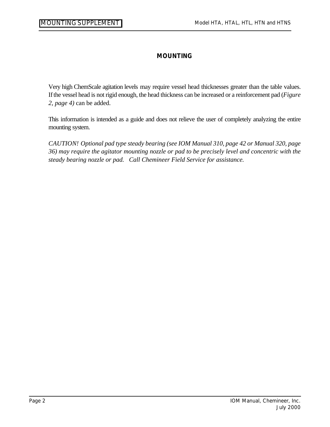Ξ

## **MOUNTING**

Very high ChemScale agitation levels may require vessel head thicknesses greater than the table values. If the vessel head is not rigid enough, the head thickness can be increased or a reinforcement pad (*Figure 2, page 4)* can be added.

This information is intended as a guide and does not relieve the user of completely analyzing the entire mounting system.

*CAUTION! Optional pad type steady bearing (see IOM Manual 310, page 42 or Manual 320, page 36) may require the agitator mounting nozzle or pad to be precisely level and concentric with the steady bearing nozzle or pad. Call Chemineer Field Service for assistance.*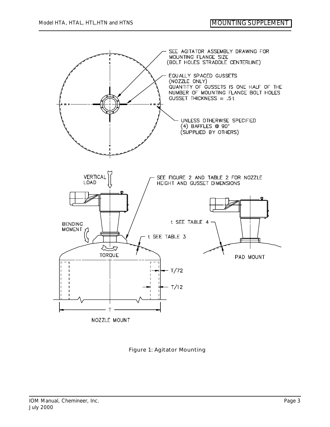

Figure 1: Agitator Mounting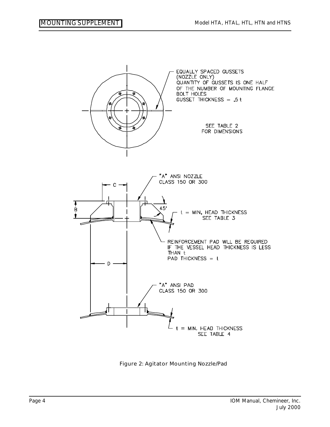Ξ



Figure 2: Agitator Mounting Nozzle/Pad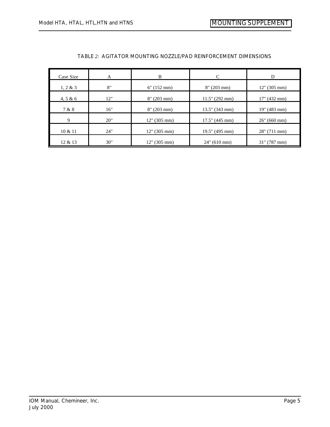| Case Size   | A   | B              | C                 | D            |
|-------------|-----|----------------|-------------------|--------------|
| $1, 2 \& 3$ | 8"  | $6''$ (152 mm) | $8''(203)$ mm)    | 12" (305 mm) |
| 4, 5 & 6    | 12" | $8''(203)$ mm) | 11.5" (292 mm)    | 17" (432 mm) |
| 7 & 8       | 16" | $8''(203)$ mm) | $13.5$ " (343 mm) | 19" (483 mm) |
| 9           | 20" | 12" (305 mm)   | $17.5$ " (445 mm) | 26" (660 mm) |
| 10 & 11     | 24" | 12" (305 mm)   | 19.5" (495 mm)    | 28" (711 mm) |
| 12 & 13     | 30" | 12" (305 mm)   | $24$ " (610 mm)   | 31" (787 mm) |

## *TABLE 2: AGITATOR MOUNTING NOZZLE/PAD REINFORCEMENT DIMENSIONS*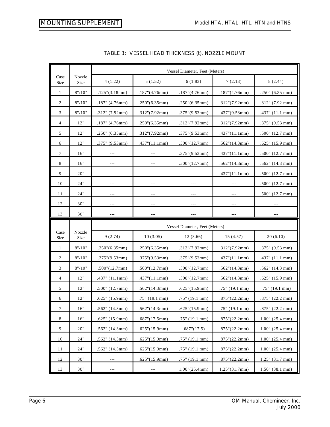Ξ

|                  |                | Vessel Diameter, Feet (Meters) |                         |                                |                     |                          |
|------------------|----------------|--------------------------------|-------------------------|--------------------------------|---------------------|--------------------------|
| Case<br>Size     | Nozzle<br>Size | 4(1.22)                        | 5(1.52)                 | 6(1.83)                        | 7(2.13)             | 8(2.44)                  |
| 1                | 8" / 10"       | .125''(3.18mm)                 | .187''(4.76mm)          | .187''(4.76mm)                 | .187''(4.76mm)      | $.250$ " (6.35 mm)       |
| $\overline{2}$   | 8" / 10"       | $.187$ " (4.76mm)              | .250''(6.35mm)          | .250''(6.35mm)                 | .312''(7.92mm)      | $.312$ " (7.92 mm)       |
| 3                | 8''/10''       | .312" (7.92mm)                 | .312''(7.92mm)          | .375''(9.53mm)                 | .437''(9.53mm)      | $.437$ " (11.1 mm)       |
| $\overline{4}$   | 12"            | $.187$ " (4.76mm)              | .250''(6.35mm)          | .312''(7.92mm)                 | .312''(7.92mm)      | $.375$ " (9.53 mm)       |
| 5                | 12"            | $.250$ " (6.35mm)              | .312''(7.92mm)          | $.375$ "(9.53mm)               | .437''(11.1mm)      | $.500$ " (12.7 mm)       |
| 6                | 12"            | .375" (9.53mm)                 | .437''(11.1mm)          | .500''(12.7mm)                 | .562''(14.3mm)      | $.625$ " (15.9 mm)       |
| 7                | 16"            | $---$                          | $---$                   | .375''(9.53mm)                 | .437''(11.1mm)      | $.500$ " (12.7 mm)       |
| 8                | 16"            | $---$                          |                         | .500''(12.7mm)                 | .562''(14.3mm)      | $.562$ " (14.3 mm)       |
| 9                | 20"            | $---$                          | $---$                   |                                | $.437$ " $(11.1mm)$ | $.500$ " (12.7 mm)       |
| 10               | 24"            | $---$                          | $---$                   | $---$                          |                     | $.500''$ (12.7 mm)       |
| 11               | 24"            | $---$                          | $---$                   |                                |                     | $.500$ " (12.7 mm)       |
| 12               | 30"            |                                |                         |                                |                     |                          |
| 13               | 30"            | ---                            | $--$                    |                                |                     |                          |
|                  |                |                                |                         |                                |                     |                          |
|                  |                |                                |                         | Vessel Diameter, Feet (Meters) |                     |                          |
| Case<br>Size     | Nozzle<br>Size | 9(2.74)                        | 10(3.05)                | 12(3.66)                       | 15(4.57)            | 20(6.10)                 |
| 1                | 8" / 10"       | .250''(6.35mm)                 | .250''(6.35mm)          | .312''(7.92mm)                 | .312''(7.92mm)      | $.375$ " (9.53 mm)       |
| $\overline{2}$   | 8" / 10"       | $.375$ "(9.53mm)               | $.375$ "(9.53mm)        | $.375$ "(9.53mm)               | .437''(11.1mm)      | $.437$ " (11.1 mm)       |
| 3                | 8''/10''       | .500''(12.7mm)                 | .500''(12.7mm)          | .500''(12.7mm)                 | .562''(14.3mm)      | $.562$ " (14.3 mm)       |
| $\overline{4}$   | 12"            | .437" (11.1mm)                 | .437''(11.1mm)          | .500''(12.7mm)                 | .562''(14.3mm)      | $.625$ " (15.9 mm)       |
| 5                | 12"            | $.500$ " (12.7mm)              | .562''(14.3mm)          | .625''(15.9mm)                 | .75" (19.1 mm)      | .75" (19.1 mm)           |
| 6                | 12"            | $.625$ " (15.9mm)              | .75" (19.1 mm)          | .75" (19.1 mm)                 | .875''(22.2mm)      | $.875$ " (22.2 mm)       |
| $\boldsymbol{7}$ | $16"$          | $.562$ " (14.3mm)              | $.562^{\circ}$ (14.3mm) | .625''(15.9mm)                 | .75" (19.1 mm)      | $.875$ " (22.2 mm)       |
| 8                | $16"$          | $.625$ " (15.9mm)              | .687''(17.5mm)          | .75" (19.1 mm)                 | .875''(22.2mm)      | $1.00^{\circ}$ (25.4 mm) |
| 9                | 20"            | $.562$ " (14.3mm)              | .625''(15.9mm)          | .687''(17.5)                   | .875''(22.2mm)      | $1.00$ " (25.4 mm)       |
| 10               | 24"            | $.562$ " (14.3mm)              | .625''(15.9mm)          | $.75$ " (19.1 mm)              | .875''(22.2mm)      | $1.00^{\circ}$ (25.4 mm) |
| 11               | 24"            | $.562$ " (14.3mm)              | .625''(15.9mm)          | $.75$ " (19.1 mm)              | .875''(22.2mm)      | $1.00$ " (25.4 mm)       |
| 12               | 30"            |                                | .625''(15.9mm)          | .75" (19.1 mm)                 | .875''(22.2mm)      | $1.25$ " (31.7 mm)       |

|  |  |  | TABLE 3: VESSEL HEAD THICKNESS (t), NOZZLE MOUNT |
|--|--|--|--------------------------------------------------|
|--|--|--|--------------------------------------------------|